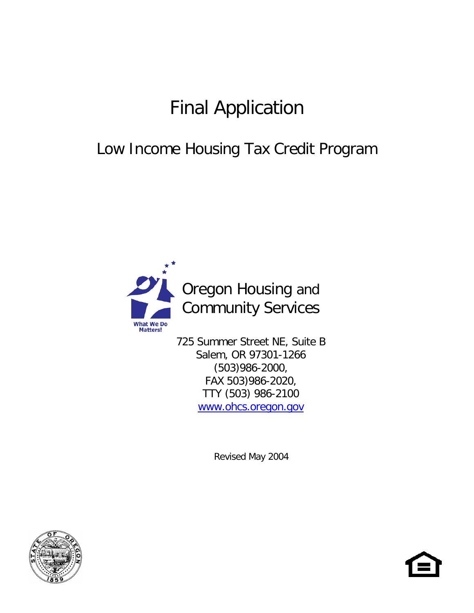# Final Application

## Low Income Housing Tax Credit Program



725 Summer Street NE, Suite B Salem, OR 97301-1266 (503)986-2000, FAX 503)986-2020, TTY (503) 986-2100 [www.ohcs.oregon.gov](http://www.ohcs.oregon.gov/)

Revised May 2004



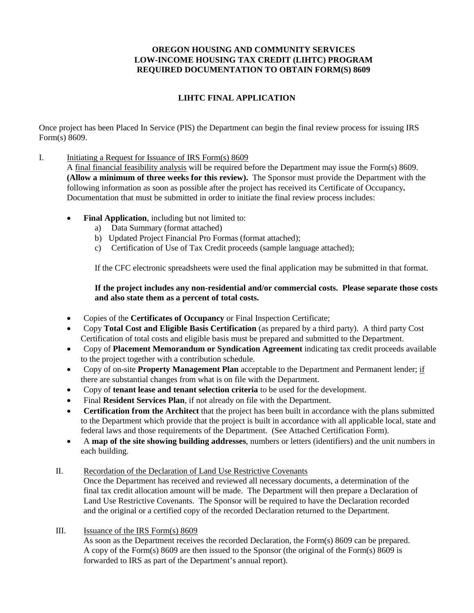#### **LIHTC FINAL APPLICATION**

Once project has been Placed In Service (PIS) the Department can begin the final review process for issuing IRS Form(s) 8609.

#### I. Initiating a Request for Issuance of IRS Form(s) 8609

A final financial feasibility analysis will be required before the Department may issue the Form(s) 8609. **(Allow a minimum of three weeks for this review).** The Sponsor must provide the Department with the following information as soon as possible after the project has received its Certificate of Occupancy**.** Documentation that must be submitted in order to initiate the final review process includes:

- **Final Application**, including but not limited to:
	- a) Data Summary (format attached)
	- b) Updated Project Financial Pro Formas (format attached);
	- c) Certification of Use of Tax Credit proceeds (sample language attached);

If the CFC electronic spreadsheets were used the final application may be submitted in that format.

#### **If the project includes any non-residential and/or commercial costs. Please separate those costs and also state them as a percent of total costs.**

- Copies of the **Certificates of Occupancy** or Final Inspection Certificate;
- Copy **Total Cost and Eligible Basis Certification** (as prepared by a third party). A third party Cost Certification of total costs and eligible basis must be prepared and submitted to the Department.
- Copy of **Placement Memorandum or Syndication Agreement** indicating tax credit proceeds available to the project together with a contribution schedule.
- Copy of on-site **Property Management Plan** acceptable to the Department and Permanent lender; if there are substantial changes from what is on file with the Department.
- Copy of **tenant lease and tenant selection criteria** to be used for the development.
- Final **Resident Services Plan**, if not already on file with the Department.
- **Certification from the Architect** that the project has been built in accordance with the plans submitted to the Department which provide that the project is built in accordance with all applicable local, state and federal laws and those requirements of the Department. (See Attached Certification Form).
- A **map of the site showing building addresses**, numbers or letters (identifiers) and the unit numbers in each building.

#### II. Recordation of the Declaration of Land Use Restrictive Covenants

Once the Department has received and reviewed all necessary documents, a determination of the final tax credit allocation amount will be made. The Department will then prepare a Declaration of Land Use Restrictive Covenants. The Sponsor will be required to have the Declaration recorded and the original or a certified copy of the recorded Declaration returned to the Department.

III. Issuance of the IRS Form(s) 8609

As soon as the Department receives the recorded Declaration, the Form(s) 8609 can be prepared. A copy of the Form(s) 8609 are then issued to the Sponsor (the original of the Form(s) 8609 is forwarded to IRS as part of the Department's annual report).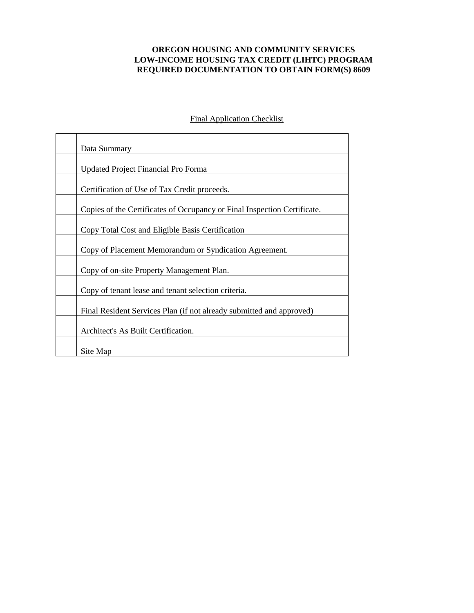| Data Summary                                                             |
|--------------------------------------------------------------------------|
| <b>Updated Project Financial Pro Forma</b>                               |
| Certification of Use of Tax Credit proceeds.                             |
| Copies of the Certificates of Occupancy or Final Inspection Certificate. |
| Copy Total Cost and Eligible Basis Certification                         |
| Copy of Placement Memorandum or Syndication Agreement.                   |
| Copy of on-site Property Management Plan.                                |
| Copy of tenant lease and tenant selection criteria.                      |
| Final Resident Services Plan (if not already submitted and approved)     |
| Architect's As Built Certification.                                      |
| Site Map                                                                 |

Final Application Checklist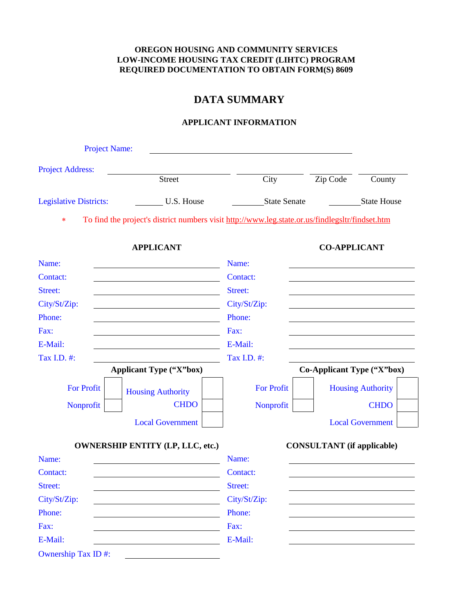## **DATA SUMMARY**

#### **APPLICANT INFORMATION**

| <b>Project Name:</b>          |                                                                                                 |                   |                                   |                          |
|-------------------------------|-------------------------------------------------------------------------------------------------|-------------------|-----------------------------------|--------------------------|
| <b>Project Address:</b>       |                                                                                                 |                   |                                   |                          |
|                               | <b>Street</b>                                                                                   | City              | Zip Code                          | County                   |
| <b>Legislative Districts:</b> | U.S. House                                                                                      | State Senate      |                                   | <b>State House</b>       |
| $\ast$                        | To find the project's district numbers visit http://www.leg.state.or.us/findlegsltr/findset.htm |                   |                                   |                          |
|                               | <b>APPLICANT</b>                                                                                |                   | <b>CO-APPLICANT</b>               |                          |
| Name:                         |                                                                                                 | Name:             |                                   |                          |
| Contact:                      |                                                                                                 | Contact:          |                                   |                          |
| Street:                       |                                                                                                 | Street:           |                                   |                          |
| City/St/Zip:                  |                                                                                                 | City/St/Zip:      |                                   |                          |
| Phone:                        |                                                                                                 | Phone:            |                                   |                          |
| Fax:                          |                                                                                                 | Fax:              |                                   |                          |
| E-Mail:                       |                                                                                                 | E-Mail:           |                                   |                          |
| Tax I.D. #:                   |                                                                                                 | Tax I.D. #:       |                                   |                          |
|                               | <b>Applicant Type ("X"box)</b>                                                                  |                   | Co-Applicant Type ("X"box)        |                          |
| <b>For Profit</b>             | <b>Housing Authority</b>                                                                        | <b>For Profit</b> |                                   | <b>Housing Authority</b> |
| Nonprofit                     | <b>CHDO</b>                                                                                     | Nonprofit         |                                   | <b>CHDO</b>              |
|                               | <b>Local Government</b>                                                                         |                   |                                   | <b>Local Government</b>  |
|                               | <b>OWNERSHIP ENTITY (LP, LLC, etc.)</b>                                                         |                   | <b>CONSULTANT</b> (if applicable) |                          |
| Name:                         |                                                                                                 | Name:             |                                   |                          |
| Contact:                      |                                                                                                 | Contact:          |                                   |                          |
| Street:                       |                                                                                                 | Street:           |                                   |                          |
| City/St/Zip:                  |                                                                                                 | City/St/Zip:      |                                   |                          |
| Phone:                        |                                                                                                 | Phone:            |                                   |                          |
| Fax:                          |                                                                                                 | Fax:              |                                   |                          |
| E-Mail:                       |                                                                                                 | E-Mail:           |                                   |                          |
| Ownership Tax ID#:            |                                                                                                 |                   |                                   |                          |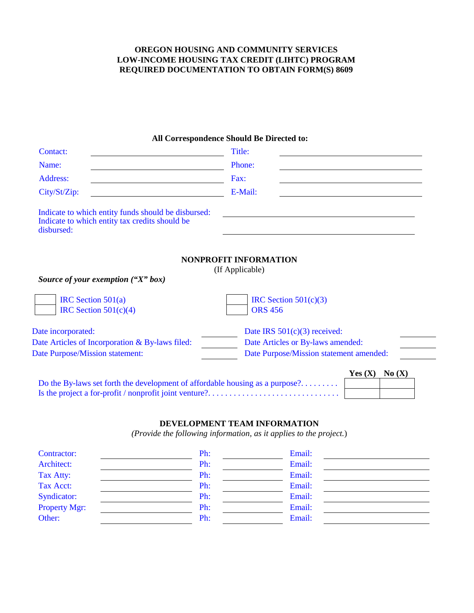#### **All Correspondence Should Be Directed to:**

| Contact:                                                                                                            | Title:                                          |
|---------------------------------------------------------------------------------------------------------------------|-------------------------------------------------|
| Name:                                                                                                               | Phone:                                          |
| Address:                                                                                                            | Fax:                                            |
| City/St/Zip:                                                                                                        | E-Mail:                                         |
| Indicate to which entity funds should be disbursed:<br>Indicate to which entity tax credits should be<br>disbursed: |                                                 |
| Source of your exemption $(''X''$ box)                                                                              | <b>NONPROFIT INFORMATION</b><br>(If Applicable) |
| IRC Section $501(a)$<br>IRC Section $501(c)(4)$                                                                     | IRC Section $501(c)(3)$<br><b>ORS 456</b>       |
| Date incorporated:                                                                                                  | Date IRS $501(c)(3)$ received:                  |
| Date Articles of Incorporation & By-laws filed:                                                                     | Date Articles or By-laws amended:               |
| Date Purpose/Mission statement:                                                                                     | Date Purpose/Mission statement amended:         |
| Do the By-laws set forth the development of affordable housing as a purpose?                                        | No(X)<br>Yes $(X)$                              |

#### **DEVELOPMENT TEAM INFORMATION**

*(Provide the following information, as it applies to the project.*)

| Contractor:          | Ph: | Email: |
|----------------------|-----|--------|
| Architect:           | Ph: | Email: |
| Tax Atty:            | Ph: | Email: |
| Tax Acct:            | Ph: | Email: |
| <b>Syndicator:</b>   | Ph: | Email: |
| <b>Property Mgr:</b> | Ph: | Email: |
| Other:               | Ph: | Email: |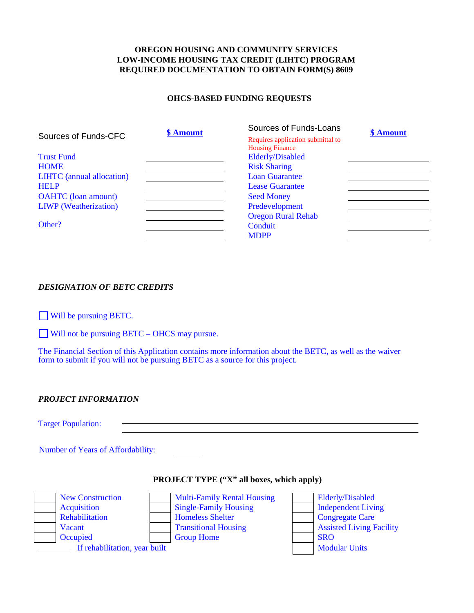#### **OHCS-BASED FUNDING REQUESTS**

|                                  | \$ Amount | Sources of Funds-Loans            | \$ Amount |
|----------------------------------|-----------|-----------------------------------|-----------|
| Sources of Funds-CFC             |           | Requires application submittal to |           |
|                                  |           | <b>Housing Finance</b>            |           |
| <b>Trust Fund</b>                |           | Elderly/Disabled                  |           |
| <b>HOME</b>                      |           | <b>Risk Sharing</b>               |           |
| <b>LIHTC</b> (annual allocation) |           | <b>Loan Guarantee</b>             |           |
| <b>HELP</b>                      |           | <b>Lease Guarantee</b>            |           |
| <b>OAHTC</b> (loan amount)       |           | <b>Seed Money</b>                 |           |
| <b>LIWP</b> (Weatherization)     |           | Predevelopment                    |           |
|                                  |           | <b>Oregon Rural Rehab</b>         |           |
| Other?                           |           | Conduit                           |           |
|                                  |           | <b>MDPP</b>                       |           |

#### *DESIGNATION OF BETC CREDITS*

Will be pursuing BETC.

Will not be pursuing BETC – OHCS may pursue.

The Financial Section of this Application contains more information about the BETC, as well as the waiver form to submit if you will not be pursuing BETC as a source for this project.

#### *PROJECT INFORMATION*

Target Population:

Number of Years of Affordability:

#### **PROJECT TYPE ("X" all boxes, which apply)**

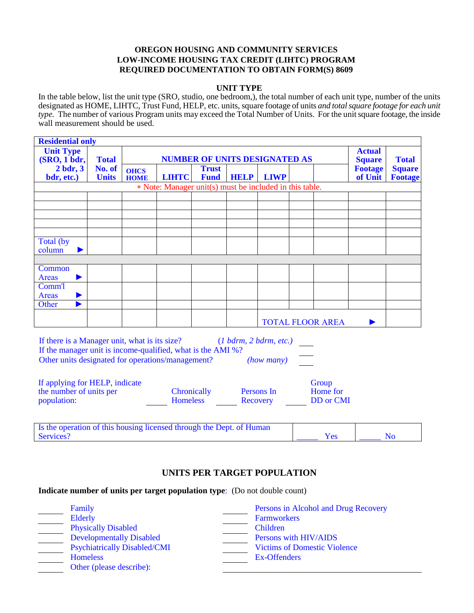#### **UNIT TYPE**

In the table below, list the unit type (SRO, studio, one bedroom,), the total number of each unit type, number of the units designated as HOME, LIHTC, Trust Fund, HELP, etc. units, square footage of units *and total square footage for each unit type.* The number of various Program units may exceed the Total Number of Units. For the unit square footage, the inside wall measurement should be used.

|                                              | <b>Residential only</b>              |                            |                                                         |                             |             |                                |                         |                           |                          |
|----------------------------------------------|--------------------------------------|----------------------------|---------------------------------------------------------|-----------------------------|-------------|--------------------------------|-------------------------|---------------------------|--------------------------|
| <b>Unit Type</b><br>(SRO, 1 <sub>bdr</sub> ) | <b>NUMBER OF UNITS DESIGNATED AS</b> |                            |                                                         |                             |             | <b>Actual</b><br><b>Square</b> | <b>Total</b>            |                           |                          |
| $2$ bdr, $3$<br>bdr, etc.)                   | No. of<br><b>Units</b>               | <b>OHCS</b><br><b>HOME</b> | <b>LIHTC</b>                                            | <b>Trust</b><br><b>Fund</b> | <b>HELP</b> | <b>LIWP</b>                    |                         | <b>Footage</b><br>of Unit | <b>Square</b><br>Footage |
|                                              |                                      |                            | * Note: Manager unit(s) must be included in this table. |                             |             |                                |                         |                           |                          |
|                                              |                                      |                            |                                                         |                             |             |                                |                         |                           |                          |
|                                              |                                      |                            |                                                         |                             |             |                                |                         |                           |                          |
|                                              |                                      |                            |                                                         |                             |             |                                |                         |                           |                          |
|                                              |                                      |                            |                                                         |                             |             |                                |                         |                           |                          |
| Total (by<br>column                          |                                      |                            |                                                         |                             |             |                                |                         |                           |                          |
|                                              |                                      |                            |                                                         |                             |             |                                |                         |                           |                          |
| Common<br>Areas                              |                                      |                            |                                                         |                             |             |                                |                         |                           |                          |
| Comm <sup>'</sup> l                          |                                      |                            |                                                         |                             |             |                                |                         |                           |                          |
| Areas                                        |                                      |                            |                                                         |                             |             |                                |                         |                           |                          |
| Other                                        |                                      |                            |                                                         |                             |             |                                |                         |                           |                          |
|                                              |                                      |                            |                                                         |                             |             |                                | <b>TOTAL FLOOR AREA</b> |                           |                          |

If there is a Manager unit, what is its size? (*1 bdrm, 2 bdrm, etc.)* If the manager unit is income-qualified, what is the AMI %? Other units designated for operations/management? *(how many)*

| If applying for HELP, indicate |                 |            | Group     |
|--------------------------------|-----------------|------------|-----------|
| the number of units per        | Chronically     | Persons In | Home for  |
| population:                    | <b>Homeless</b> | Recovery   | DD or CMI |

| Is the operation of this housing licensed through the Dept. of Human |  |
|----------------------------------------------------------------------|--|
| Services?                                                            |  |

#### **UNITS PER TARGET POPULATION**

**Indicate number of units per target population type**: (Do not double count)

| Family                              | Persons in Alcohol and Drug Recovery |
|-------------------------------------|--------------------------------------|
| Elderly                             | <b>Farmworkers</b>                   |
| <b>Physically Disabled</b>          | Children                             |
| <b>Developmentally Disabled</b>     | Persons with HIV/AIDS                |
| <b>Psychiatrically Disabled/CMI</b> | <b>Victims of Domestic Violence</b>  |
| <b>Homeless</b>                     | Ex-Offenders                         |
| Other (please describe):            |                                      |
|                                     |                                      |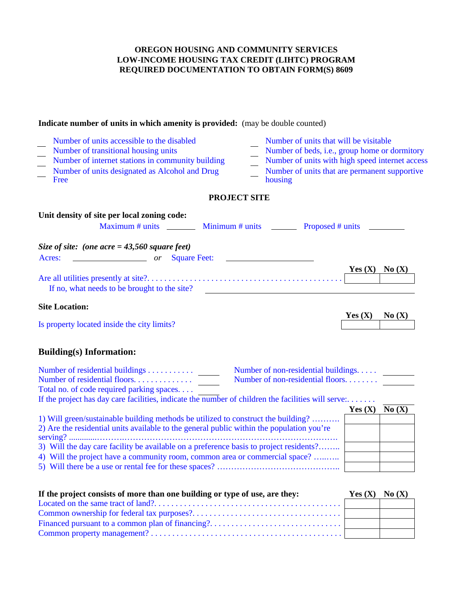### **Indicate number of units in which amenity is provided:** (may be double counted) Number of units accessible to the disabled<br>
Number of units that will be visitable<br>
Number of beds, i.e., group home or c Number of beds, i.e., group home or dormitory Number of internet stations in community building Number of units with high speed internet access Number of units designated as Alcohol and Drug Free Number of units that are permanent supportive housing **PROJECT SITE Unit density of site per local zoning code:** Maximum # units  $\frac{1}{2}$  Minimum # units Proposed # units *Size of site: (one acre = 43,560 square feet)* Acres: *or* Square Feet: **Yes (X) No (X)** Are all utilities presently at site?. . . . . . . . . . . . . . . . . . . . . . . . . . . . . . . . . . . . . . . . . . . . . . If no, what needs to be brought to the site? **Site Location: Yes (X) No (X)** Is property located inside the city limits? **Building(s) Information:** Number of residential buildings . . . . . . . . . . . Number of non-residential buildings. . . . . Number of residential floors. . . . . . . . . . . . . . Number of non-residential floors. . . . . . . . Total no. of code required parking spaces. . . . If the project has day care facilities, indicate the number of children the facilities will serve:. . . . . . . **Yes (X) No (X)** 1) Will green/sustainable building methods be utilized to construct the building? ………. 2) Are the residential units available to the general public within the population you're serving? .............……….…………………………………………………………………. 3) Will the day care facility be available on a preference basis to project residents?…….. 4) Will the project have a community room, common area or commercial space? …..….. 5) Will there be a use or rental fee for these spaces? …………………………………….. **If the project consists of more than one building or type of use, are they: Yes (X) No (X)** Located on the same tract of land?. . . . . . . . . . . . . . . . . . . . . . . . . . . . . . . . . . . . . . . . . . . . Common ownership for federal tax purposes?. . . . . . . . . . . . . . . . . . . . . . . . . . . . . . . . . . .

Financed pursuant to a common plan of financing?. . . . . . . . . . . . . . . . . . . . . . . . . . . . . . . Common property management? . . . . . . . . . . . . . . . . . . . . . . . . . . . . . . . . . . . . . . . . . . . . .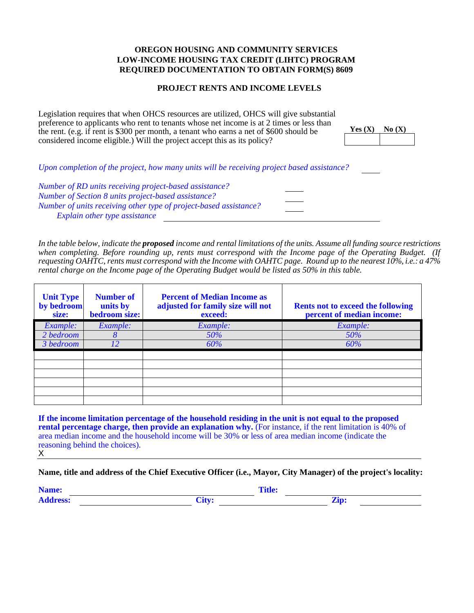#### **PROJECT RENTS AND INCOME LEVELS**

Legislation requires that when OHCS resources are utilized, OHCS will give substantial preference to applicants who rent to tenants whose net income is at 2 times or less than the rent. (e.g. if rent is \$300 per month, a tenant who earns a net of \$600 should be considered income eligible.) Will the project accept this as its policy?

| Yes $(X)$ | No(X) |
|-----------|-------|
|           |       |

*Upon completion of the project, how many units will be receiving project based assistance? Number of RD units receiving project-based assistance? Number of Section 8 units project-based assistance? Number of units receiving other type of project-based assistance? Explain other type assistance*

*In the table below, indicate the proposed income and rental limitations of the units. Assume all funding source restrictions when completing. Before rounding up, rents must correspond with the Income page of the Operating Budget. (If requesting OAHTC, rents must correspond with the Income with OAHTC page. Round up to the nearest 10%, i.e.: a 47% rental charge on the Income page of the Operating Budget would be listed as 50% in this table.*

| <b>Unit Type</b><br>by bedroom<br>size: | <b>Number of</b><br>units by<br>bedroom size: | <b>Percent of Median Income as</b><br>adjusted for family size will not<br>exceed: | <b>Rents not to exceed the following</b><br>percent of median income: |
|-----------------------------------------|-----------------------------------------------|------------------------------------------------------------------------------------|-----------------------------------------------------------------------|
| Example:                                | Example:                                      | Example:                                                                           | Example:                                                              |
| 2 bedroom                               |                                               | 50%                                                                                | 50%                                                                   |
| 3 bedroom                               | 12                                            | 60%                                                                                | 60%                                                                   |
|                                         |                                               |                                                                                    |                                                                       |
|                                         |                                               |                                                                                    |                                                                       |
|                                         |                                               |                                                                                    |                                                                       |
|                                         |                                               |                                                                                    |                                                                       |
|                                         |                                               |                                                                                    |                                                                       |
|                                         |                                               |                                                                                    |                                                                       |

**If the income limitation percentage of the household residing in the unit is not equal to the proposed rental percentage charge, then provide an explanation why.** (For instance, if the rent limitation is 40% of area median income and the household income will be 30% or less of area median income (indicate the reasoning behind the choices). X

**Name, title and address of the Chief Executive Officer (i.e., Mayor, City Manager) of the project's locality:**

|  | _____ |
|--|-------|
|  |       |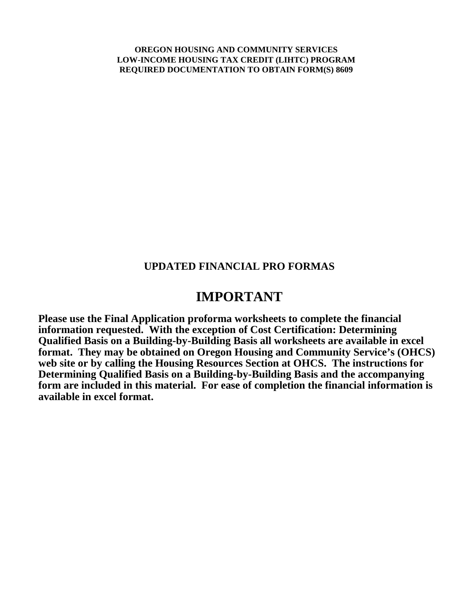#### **UPDATED FINANCIAL PRO FORMAS**

## **IMPORTANT**

**Please use the Final Application proforma worksheets to complete the financial information requested. With the exception of Cost Certification: Determining Qualified Basis on a Building-by-Building Basis all worksheets are available in excel format. They may be obtained on Oregon Housing and Community Service's (OHCS) web site or by calling the Housing Resources Section at OHCS. The instructions for Determining Qualified Basis on a Building-by-Building Basis and the accompanying form are included in this material. For ease of completion the financial information is available in excel format.**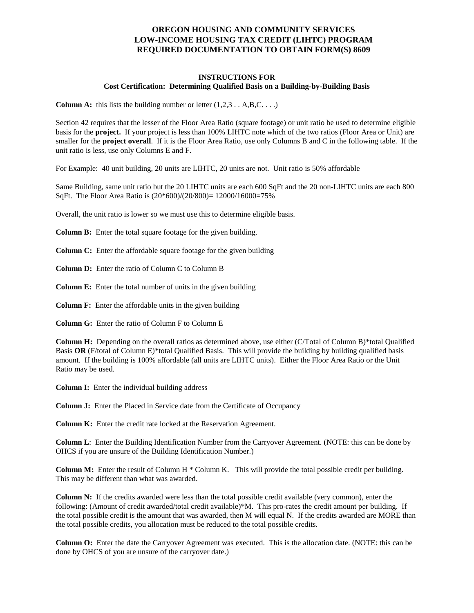#### **INSTRUCTIONS FOR Cost Certification: Determining Qualified Basis on a Building-by-Building Basis**

**Column A:** this lists the building number or letter  $(1,2,3 \dots A,B,C \dots)$ 

Section 42 requires that the lesser of the Floor Area Ratio (square footage) or unit ratio be used to determine eligible basis for the **project.** If your project is less than 100% LIHTC note which of the two ratios (Floor Area or Unit) are smaller for the **project overall**. If it is the Floor Area Ratio, use only Columns B and C in the following table. If the unit ratio is less, use only Columns E and F.

For Example: 40 unit building, 20 units are LIHTC, 20 units are not. Unit ratio is 50% affordable

Same Building, same unit ratio but the 20 LIHTC units are each 600 SqFt and the 20 non-LIHTC units are each 800 SqFt. The Floor Area Ratio is (20\*600)/(20/800)= 12000/16000=75%

Overall, the unit ratio is lower so we must use this to determine eligible basis.

**Column B:** Enter the total square footage for the given building.

**Column C:** Enter the affordable square footage for the given building

**Column D:** Enter the ratio of Column C to Column B

**Column E:** Enter the total number of units in the given building

**Column F:** Enter the affordable units in the given building

**Column G:** Enter the ratio of Column F to Column E

**Column H:** Depending on the overall ratios as determined above, use either (C/Total of Column B)\*total Qualified Basis **OR** (F/total of Column E)\*total Qualified Basis. This will provide the building by building qualified basis amount. If the building is 100% affordable (all units are LIHTC units). Either the Floor Area Ratio or the Unit Ratio may be used.

**Column I:** Enter the individual building address

**Column J:** Enter the Placed in Service date from the Certificate of Occupancy

**Column K:** Enter the credit rate locked at the Reservation Agreement.

**Column L**: Enter the Building Identification Number from the Carryover Agreement. (NOTE: this can be done by OHCS if you are unsure of the Building Identification Number.)

**Column M:** Enter the result of Column H  $*$  Column K. This will provide the total possible credit per building. This may be different than what was awarded.

**Column N:** If the credits awarded were less than the total possible credit available (very common), enter the following: (Amount of credit awarded/total credit available)\*M. This pro-rates the credit amount per building. If the total possible credit is the amount that was awarded, then M will equal N. If the credits awarded are MORE than the total possible credits, you allocation must be reduced to the total possible credits.

**Column O:** Enter the date the Carryover Agreement was executed. This is the allocation date. (NOTE: this can be done by OHCS of you are unsure of the carryover date.)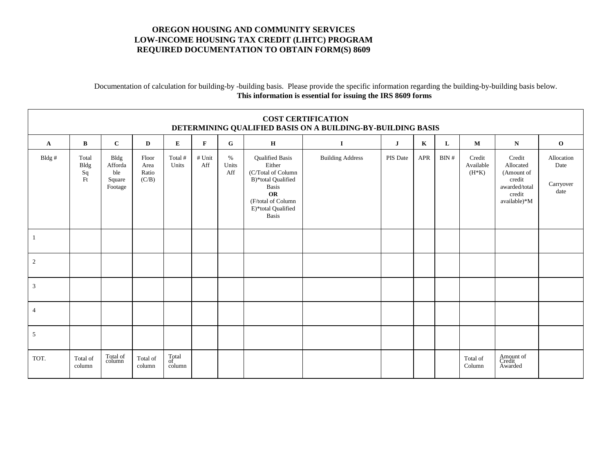#### Documentation of calculation for building-by -building basis. Please provide the specific information regarding the building-by-building basis below. **This information is essential for issuing the IRS 8609 forms**

| <b>COST CERTIFICATION</b><br>DETERMINING QUALIFIED BASIS ON A BUILDING-BY-BUILDING BASIS |                           |                                             |                                 |                       |               |                   |                                                                                                                                                         |                         |          |             |                   |                                |                                                                                        |                                                  |
|------------------------------------------------------------------------------------------|---------------------------|---------------------------------------------|---------------------------------|-----------------------|---------------|-------------------|---------------------------------------------------------------------------------------------------------------------------------------------------------|-------------------------|----------|-------------|-------------------|--------------------------------|----------------------------------------------------------------------------------------|--------------------------------------------------|
| $\mathbf{A}$                                                                             | $\bf{B}$                  | $\mathbf{C}$                                | $\mathbf D$                     | ${\bf E}$             | $\mathbf{F}$  | G                 | $\mathbf H$                                                                                                                                             | $\bf{I}$                | $\bf J$  | $\mathbf K$ | L                 | $\mathbf{M}$                   | N                                                                                      | $\mathbf 0$                                      |
| Bldg #                                                                                   | Total<br>Bldg<br>Sq<br>Ft | Bldg<br>Afforda<br>ble<br>Square<br>Footage | Floor<br>Area<br>Ratio<br>(C/B) | Total #<br>Units      | # Unit<br>Aff | %<br>Units<br>Aff | <b>Qualified Basis</b><br>Either<br>(C/Total of Column<br>B)*total Qualified<br>Basis<br>OR<br>(F/total of Column<br>E)*total Qualified<br><b>Basis</b> | <b>Building Address</b> | PIS Date | APR         | $\mathbf{BIN}~\#$ | Credit<br>Available<br>$(H*K)$ | Credit<br>Allocated<br>(Amount of<br>credit<br>awarded/total<br>credit<br>available)*M | Allocation<br>Date<br>Carryover<br>$\text{date}$ |
| 1                                                                                        |                           |                                             |                                 |                       |               |                   |                                                                                                                                                         |                         |          |             |                   |                                |                                                                                        |                                                  |
| $\sqrt{2}$                                                                               |                           |                                             |                                 |                       |               |                   |                                                                                                                                                         |                         |          |             |                   |                                |                                                                                        |                                                  |
| $\mathfrak{Z}$                                                                           |                           |                                             |                                 |                       |               |                   |                                                                                                                                                         |                         |          |             |                   |                                |                                                                                        |                                                  |
| $\overline{4}$                                                                           |                           |                                             |                                 |                       |               |                   |                                                                                                                                                         |                         |          |             |                   |                                |                                                                                        |                                                  |
| $\sqrt{5}$                                                                               |                           |                                             |                                 |                       |               |                   |                                                                                                                                                         |                         |          |             |                   |                                |                                                                                        |                                                  |
| TOT.                                                                                     | Total of<br>column        | Total of<br>column                          | Total of<br>column              | Total<br>of<br>column |               |                   |                                                                                                                                                         |                         |          |             |                   | Total of<br>Column             | Amount of<br>Credit<br>Awarded                                                         |                                                  |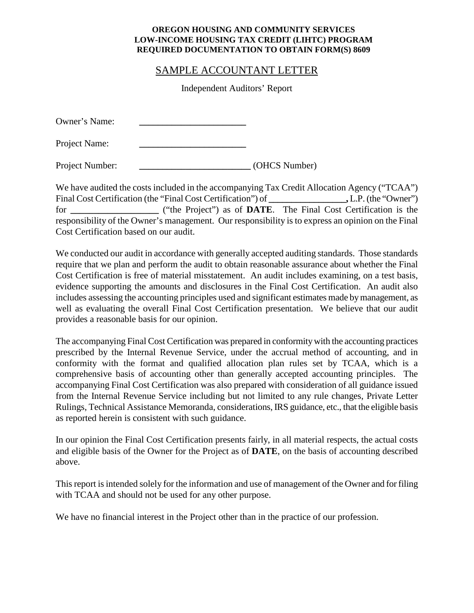#### SAMPLE ACCOUNTANT LETTER

Independent Auditors' Report

| Owner's Name: |  |
|---------------|--|
| Project Name: |  |

Project Number: *COHCS Number* 

We have audited the costs included in the accompanying Tax Credit Allocation Agency ("TCAA") Final Cost Certification (the "Final Cost Certification") of **.** L.P. (the "Owner") for **\_\_\_\_\_\_\_\_\_\_\_\_\_\_\_\_\_\_\_** ("the Project") as of **DATE**. The Final Cost Certification is the responsibility of the Owner's management. Our responsibility is to express an opinion on the Final Cost Certification based on our audit.

We conducted our audit in accordance with generally accepted auditing standards. Those standards require that we plan and perform the audit to obtain reasonable assurance about whether the Final Cost Certification is free of material misstatement. An audit includes examining, on a test basis, evidence supporting the amounts and disclosures in the Final Cost Certification. An audit also includes assessing the accounting principles used and significant estimates made by management, as well as evaluating the overall Final Cost Certification presentation. We believe that our audit provides a reasonable basis for our opinion.

The accompanying Final Cost Certification was prepared in conformity with the accounting practices prescribed by the Internal Revenue Service, under the accrual method of accounting, and in conformity with the format and qualified allocation plan rules set by TCAA, which is a comprehensive basis of accounting other than generally accepted accounting principles. The accompanying Final Cost Certification was also prepared with consideration of all guidance issued from the Internal Revenue Service including but not limited to any rule changes, Private Letter Rulings, Technical Assistance Memoranda, considerations, IRS guidance, etc., that the eligible basis as reported herein is consistent with such guidance.

In our opinion the Final Cost Certification presents fairly, in all material respects, the actual costs and eligible basis of the Owner for the Project as of **DATE**, on the basis of accounting described above.

This report is intended solely for the information and use of management of the Owner and for filing with TCAA and should not be used for any other purpose.

We have no financial interest in the Project other than in the practice of our profession.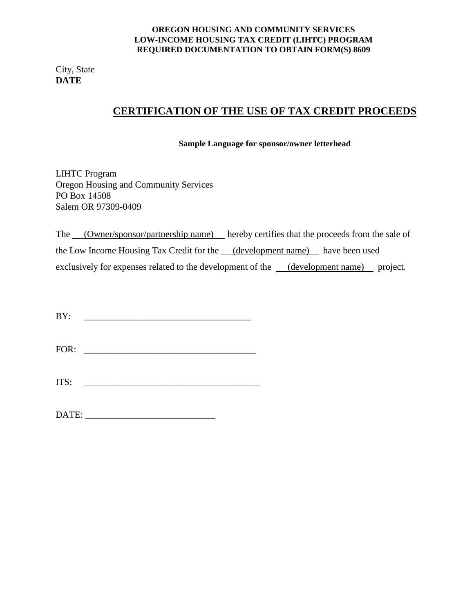City, State **DATE**

## **CERTIFICATION OF THE USE OF TAX CREDIT PROCEEDS**

**Sample Language for sponsor/owner letterhead**

LIHTC Program Oregon Housing and Community Services PO Box 14508 Salem OR 97309-0409

The (Owner/sponsor/partnership name) hereby certifies that the proceeds from the sale of the Low Income Housing Tax Credit for the (development name) have been used exclusively for expenses related to the development of the (development name) project.

| BY:   |  |  |
|-------|--|--|
|       |  |  |
| ITS:  |  |  |
| DATE: |  |  |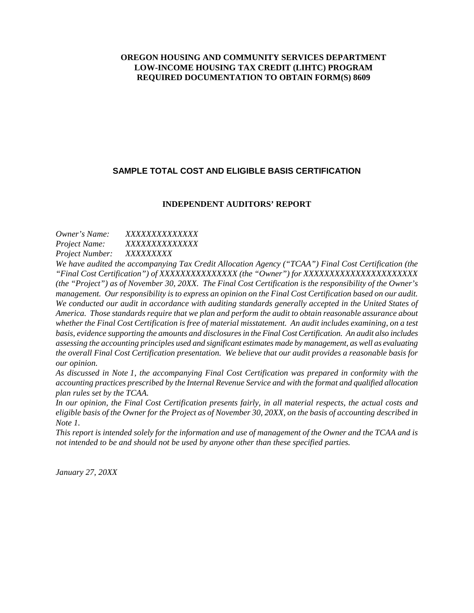#### **SAMPLE TOTAL COST AND ELIGIBLE BASIS CERTIFICATION**

#### **INDEPENDENT AUDITORS' REPORT**

#### *Owner's Name: XXXXXXXXXXXXXX Project Name: XXXXXXXXXXXXXX Project Number: XXXXXXXXX*

*We have audited the accompanying Tax Credit Allocation Agency ("TCAA") Final Cost Certification (the "Final Cost Certification") of XXXXXXXXXXXXXXX (the "Owner") for XXXXXXXXXXXXXXXXXXXXXX (the "Project") as of November 30, 20XX. The Final Cost Certification is the responsibility of the Owner's management. Our responsibility is to express an opinion on the Final Cost Certification based on our audit. We conducted our audit in accordance with auditing standards generally accepted in the United States of America. Those standards require that we plan and perform the audit to obtain reasonable assurance about whether the Final Cost Certification is free of material misstatement. An audit includes examining, on a test basis, evidence supporting the amounts and disclosures in the Final Cost Certification. An audit also includes assessing the accounting principles used and significant estimates made by management, as well as evaluating the overall Final Cost Certification presentation. We believe that our audit provides a reasonable basis for our opinion.*

*As discussed in Note 1, the accompanying Final Cost Certification was prepared in conformity with the accounting practices prescribed by the Internal Revenue Service and with the format and qualified allocation plan rules set by the TCAA.*

*In our opinion, the Final Cost Certification presents fairly, in all material respects, the actual costs and eligible basis of the Owner for the Project as of November 30, 20XX, on the basis of accounting described in Note 1.*

*This report is intended solely for the information and use of management of the Owner and the TCAA and is not intended to be and should not be used by anyone other than these specified parties.*

*January 27, 20XX*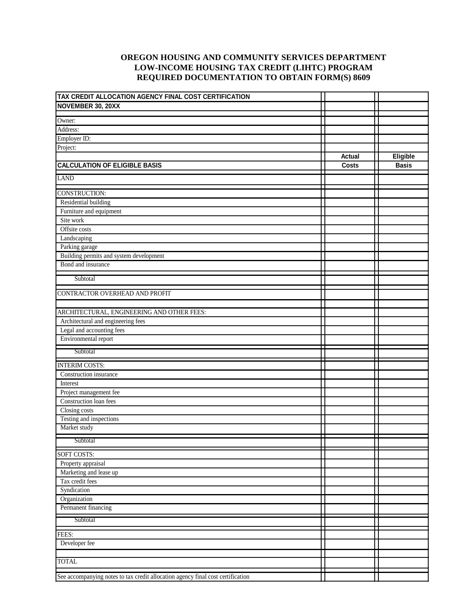| TAX CREDIT ALLOCATION AGENCY FINAL COST CERTIFICATION                           |               |              |
|---------------------------------------------------------------------------------|---------------|--------------|
| NOVEMBER 30, 20XX                                                               |               |              |
|                                                                                 |               |              |
| Owner:<br>Address:                                                              |               |              |
| Employer ID:                                                                    |               |              |
| Project:                                                                        |               |              |
|                                                                                 | <b>Actual</b> | Eligible     |
| <b>CALCULATION OF ELIGIBLE BASIS</b>                                            | <b>Costs</b>  | <b>Basis</b> |
|                                                                                 |               |              |
| <b>LAND</b>                                                                     |               |              |
| <b>CONSTRUCTION:</b>                                                            |               |              |
| Residential building                                                            |               |              |
| Furniture and equipment                                                         |               |              |
| Site work                                                                       |               |              |
| Offsite costs                                                                   |               |              |
| Landscaping                                                                     |               |              |
| Parking garage                                                                  |               |              |
| Building permits and system development                                         |               |              |
| Bond and insurance                                                              |               |              |
| Subtotal                                                                        |               |              |
|                                                                                 |               |              |
| CONTRACTOR OVERHEAD AND PROFIT                                                  |               |              |
|                                                                                 |               |              |
| ARCHITECTURAL, ENGINEERING AND OTHER FEES:                                      |               |              |
| Architectural and engineering fees                                              |               |              |
| Legal and accounting fees                                                       |               |              |
| Environmental report                                                            |               |              |
| Subtotal                                                                        |               |              |
|                                                                                 |               |              |
| <b>INTERIM COSTS:</b><br>Construction insurance                                 |               |              |
| Interest                                                                        |               |              |
| Project management fee                                                          |               |              |
| Construction loan fees                                                          |               |              |
| Closing costs                                                                   |               |              |
| Testing and inspections                                                         |               |              |
| Market study                                                                    |               |              |
|                                                                                 | П             | П            |
| Subtotal                                                                        |               |              |
| SOFT COSTS:                                                                     |               |              |
| Property appraisal                                                              |               |              |
| Marketing and lease up                                                          |               |              |
| Tax credit fees                                                                 |               |              |
| Syndication                                                                     |               |              |
| Organization                                                                    |               |              |
| Permanent financing                                                             |               |              |
| Subtotal                                                                        |               |              |
| FEES:                                                                           |               |              |
| Developer fee                                                                   |               |              |
|                                                                                 |               |              |
| <b>TOTAL</b>                                                                    |               |              |
|                                                                                 |               |              |
| See accompanying notes to tax credit allocation agency final cost certification |               |              |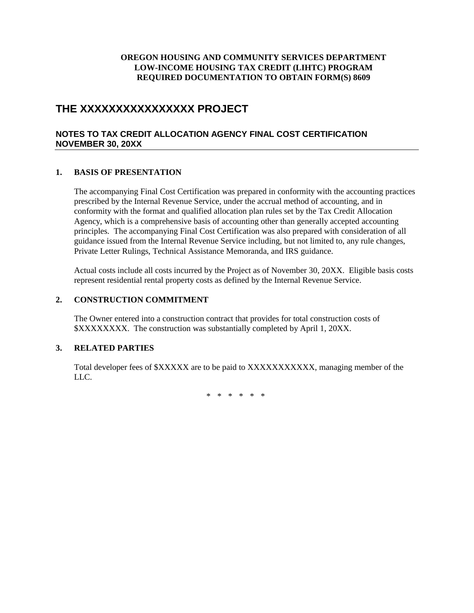## **THE XXXXXXXXXXXXXXXX PROJECT**

#### **NOTES TO TAX CREDIT ALLOCATION AGENCY FINAL COST CERTIFICATION NOVEMBER 30, 20XX**

#### **1. BASIS OF PRESENTATION**

The accompanying Final Cost Certification was prepared in conformity with the accounting practices prescribed by the Internal Revenue Service, under the accrual method of accounting, and in conformity with the format and qualified allocation plan rules set by the Tax Credit Allocation Agency, which is a comprehensive basis of accounting other than generally accepted accounting principles. The accompanying Final Cost Certification was also prepared with consideration of all guidance issued from the Internal Revenue Service including, but not limited to, any rule changes, Private Letter Rulings, Technical Assistance Memoranda, and IRS guidance.

Actual costs include all costs incurred by the Project as of November 30, 20XX. Eligible basis costs represent residential rental property costs as defined by the Internal Revenue Service.

#### **2. CONSTRUCTION COMMITMENT**

The Owner entered into a construction contract that provides for total construction costs of \$XXXXXXXX. The construction was substantially completed by April 1, 20XX.

#### **3. RELATED PARTIES**

Total developer fees of \$XXXXX are to be paid to XXXXXXXXXXX, managing member of the LLC.

\* \* \* \* \* \*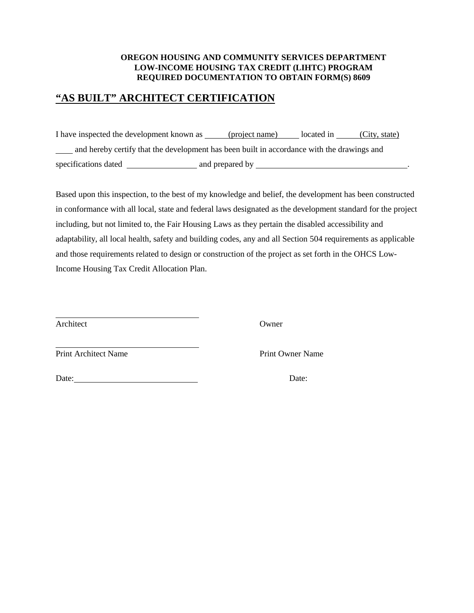## **"AS BUILT" ARCHITECT CERTIFICATION**

I have inspected the development known as (project name) located in (City, state) and hereby certify that the development has been built in accordance with the drawings and specifications dated and prepared by .

Based upon this inspection, to the best of my knowledge and belief, the development has been constructed in conformance with all local, state and federal laws designated as the development standard for the project including, but not limited to, the Fair Housing Laws as they pertain the disabled accessibility and adaptability, all local health, safety and building codes, any and all Section 504 requirements as applicable and those requirements related to design or construction of the project as set forth in the OHCS Low-Income Housing Tax Credit Allocation Plan.

Architect Owner

 $\overline{a}$ Print Architect Name Print Owner Name

Date: Date: Date: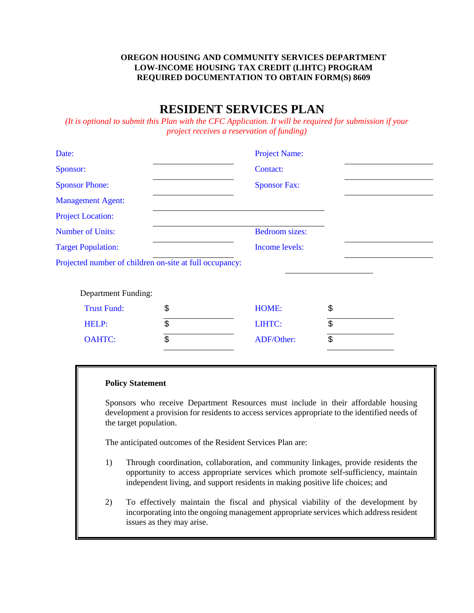## **RESIDENT SERVICES PLAN**

*(It is optional to submit this Plan with the CFC Application. It will be required for submission if your project receives a reservation of funding)*

| Date:                                                   | <b>Project Name:</b>  |                          |  |  |
|---------------------------------------------------------|-----------------------|--------------------------|--|--|
| Sponsor:                                                | Contact:              |                          |  |  |
| <b>Sponsor Phone:</b>                                   | <b>Sponsor Fax:</b>   |                          |  |  |
| <b>Management Agent:</b>                                |                       |                          |  |  |
| <b>Project Location:</b>                                |                       |                          |  |  |
| <b>Number of Units:</b>                                 | <b>Bedroom</b> sizes: |                          |  |  |
| <b>Target Population:</b>                               | Income levels:        |                          |  |  |
| Projected number of children on-site at full occupancy: |                       |                          |  |  |
| <b>Department Funding:</b>                              |                       |                          |  |  |
| <b>Trust Fund:</b>                                      | \$<br>HOME:           | \$                       |  |  |
| HELP:                                                   | \$<br>LIHTC:          | \$                       |  |  |
| <b>OAHTC:</b>                                           | \$<br>ADF/Other:      | $\overline{\mathcal{E}}$ |  |  |
|                                                         |                       |                          |  |  |

#### **Policy Statement**

Sponsors who receive Department Resources must include in their affordable housing development a provision for residents to access services appropriate to the identified needs of the target population.

The anticipated outcomes of the Resident Services Plan are:

- 1) Through coordination, collaboration, and community linkages, provide residents the opportunity to access appropriate services which promote self-sufficiency, maintain independent living, and support residents in making positive life choices; and
- 2) To effectively maintain the fiscal and physical viability of the development by incorporating into the ongoing management appropriate services which address resident issues as they may arise.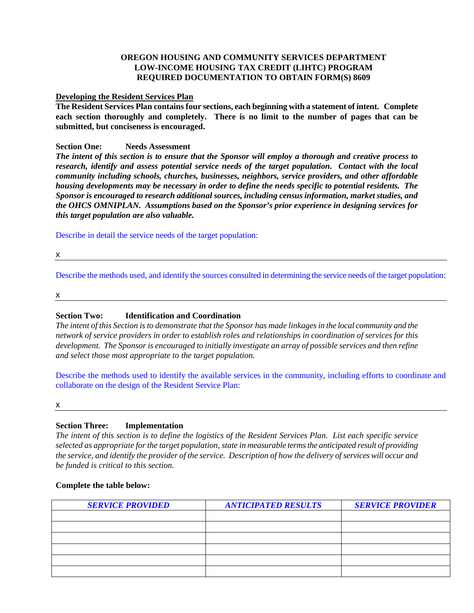#### **Developing the Resident Services Plan**

**The Resident Services Plan contains four sections, each beginning with a statement of intent. Complete each section thoroughly and completely. There is no limit to the number of pages that can be submitted, but conciseness is encouraged.** 

#### **Section One: Needs Assessment**

*The intent of this section is to ensure that the Sponsor will employ a thorough and creative process to research, identify and assess potential service needs of the target population. Contact with the local community including schools, churches, businesses, neighbors, service providers, and other affordable housing developments may be necessary in order to define the needs specific to potential residents. The Sponsor is encouraged to research additional sources, including census information, market studies, and the OHCS OMNIPLAN. Assumptions based on the Sponsor's prior experience in designing services for this target population are also valuable.*

Describe in detail the service needs of the target population:

x

Describe the methods used, and identify the sources consulted in determining the service needs of the target population:

x

#### **Section Two: Identification and Coordination**

*The intent of this Section is to demonstrate that the Sponsor has made linkages in the local community and the network of service providers in order to establish roles and relationships in coordination of services for this development. The Sponsor is encouraged to initially investigate an array of possible services and then refine and select those most appropriate to the target population.*

Describe the methods used to identify the available services in the community, including efforts to coordinate and collaborate on the design of the Resident Service Plan:

x

#### **Section Three: Implementation**

*The intent of this section is to define the logistics of the Resident Services Plan. List each specific service selected as appropriate for the target population, state in measurable terms the anticipated result of providing the service, and identify the provider of the service. Description of how the delivery of services will occur and be funded is critical to this section.* 

#### **Complete the table below:**

| <b>SERVICE PROVIDED</b> | <b>ANTICIPATED RESULTS</b> | <b>SERVICE PROVIDER</b> |
|-------------------------|----------------------------|-------------------------|
|                         |                            |                         |
|                         |                            |                         |
|                         |                            |                         |
|                         |                            |                         |
|                         |                            |                         |
|                         |                            |                         |